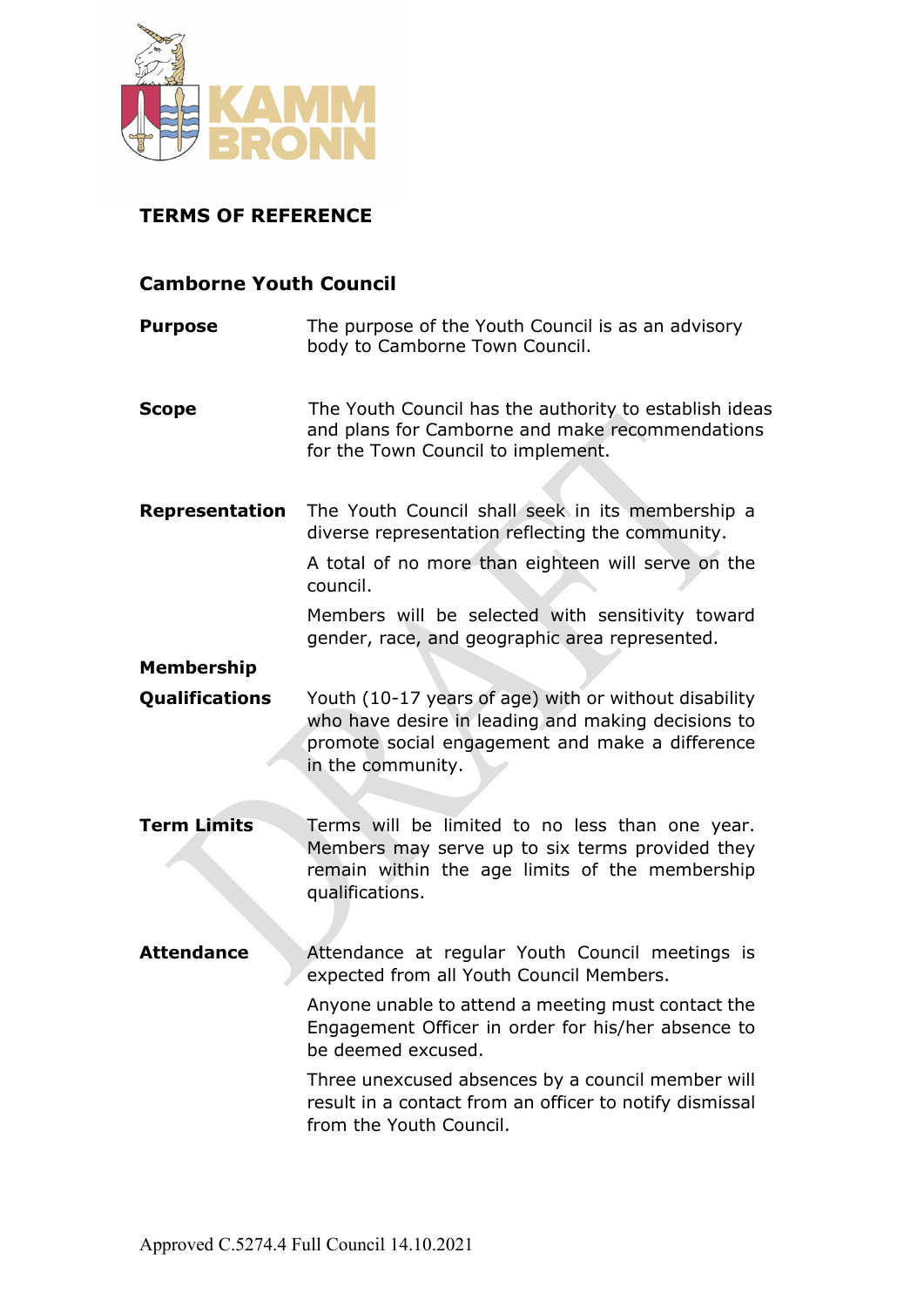

## **TERMS OF REFERENCE**

## **Camborne Youth Council**

| <b>Purpose</b>        | The purpose of the Youth Council is as an advisory<br>body to Camborne Town Council.                                                                                                                                       |
|-----------------------|----------------------------------------------------------------------------------------------------------------------------------------------------------------------------------------------------------------------------|
| <b>Scope</b>          | The Youth Council has the authority to establish ideas<br>and plans for Camborne and make recommendations<br>for the Town Council to implement.                                                                            |
| Representation        | The Youth Council shall seek in its membership a<br>diverse representation reflecting the community.<br>A total of no more than eighteen will serve on the<br>council.<br>Members will be selected with sensitivity toward |
|                       | gender, race, and geographic area represented.                                                                                                                                                                             |
| <b>Membership</b>     |                                                                                                                                                                                                                            |
| <b>Qualifications</b> | Youth (10-17 years of age) with or without disability<br>who have desire in leading and making decisions to<br>promote social engagement and make a difference<br>in the community.                                        |
| <b>Term Limits</b>    | Terms will be limited to no less than one year.<br>Members may serve up to six terms provided they<br>remain within the age limits of the membership<br>qualifications.                                                    |
| <b>Attendance</b>     | Attendance at regular Youth Council meetings is<br>expected from all Youth Council Members.                                                                                                                                |
|                       | Anyone unable to attend a meeting must contact the<br>Engagement Officer in order for his/her absence to<br>be deemed excused.                                                                                             |
|                       | Three unexcused absences by a council member will<br>result in a contact from an officer to notify dismissal<br>from the Youth Council.                                                                                    |